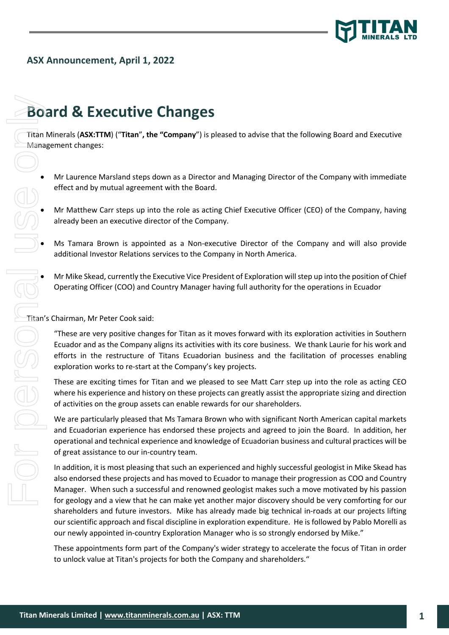

## **ASX Announcement, April 1, 2022**

## **Board & Executive Changes**

Titan Minerals (**ASX:TTM**) ("**Titan**"**, the "Company**") is pleased to advise that the following Board and Executive Management changes:

- Mr Laurence Marsland steps down as a Director and Managing Director of the Company with immediate effect and by mutual agreement with the Board.
- Mr Matthew Carr steps up into the role as acting Chief Executive Officer (CEO) of the Company, having already been an executive director of the Company.
- Ms Tamara Brown is appointed as a Non-executive Director of the Company and will also provide additional Investor Relations services to the Company in North America.
- Mr Mike Skead, currently the Executive Vice President of Exploration will step up into the position of Chief Operating Officer (COO) and Country Manager having full authority for the operations in Ecuador

Titan's Chairman, Mr Peter Cook said:

"These are very positive changes for Titan as it moves forward with its exploration activities in Southern Ecuador and as the Company aligns its activities with its core business. We thank Laurie for his work and efforts in the restructure of Titans Ecuadorian business and the facilitation of processes enabling exploration works to re-start at the Company's key projects.

These are exciting times for Titan and we pleased to see Matt Carr step up into the role as acting CEO where his experience and history on these projects can greatly assist the appropriate sizing and direction of activities on the group assets can enable rewards for our shareholders.

We are particularly pleased that Ms Tamara Brown who with significant North American capital markets and Ecuadorian experience has endorsed these projects and agreed to join the Board. In addition, her operational and technical experience and knowledge of Ecuadorian business and cultural practices will be of great assistance to our in-country team.

In addition, it is most pleasing that such an experienced and highly successful geologist in Mike Skead has also endorsed these projects and has moved to Ecuador to manage their progression as COO and Country Manager. When such a successful and renowned geologist makes such a move motivated by his passion for geology and a view that he can make yet another major discovery should be very comforting for our shareholders and future investors. Mike has already made big technical in-roads at our projects lifting our scientific approach and fiscal discipline in exploration expenditure. He is followed by Pablo Morelli as our newly appointed in-country Exploration Manager who is so strongly endorsed by Mike."

These appointments form part of the Company's wider strategy to accelerate the focus of Titan in order to unlock value at Titan's projects for both the Company and shareholders."